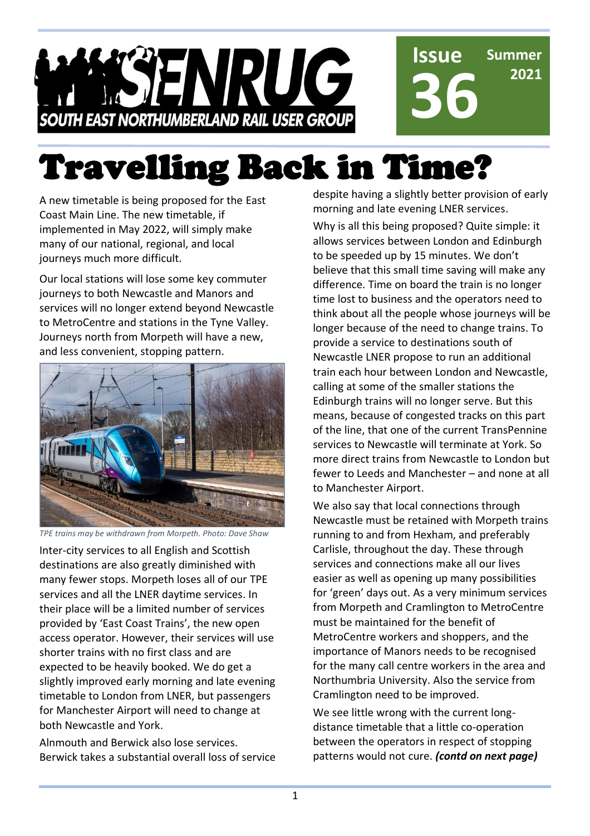**Issue Summer ISENRUG 36 2021 SOUTH EAST NORTHUMBERLAND RAIL USER GROUP** 

# Travelling Back in Time?

A new timetable is being proposed for the East Coast Main Line. The new timetable, if implemented in May 2022, will simply make many of our national, regional, and local journeys much more difficult.

Our local stations will lose some key commuter journeys to both Newcastle and Manors and services will no longer extend beyond Newcastle to MetroCentre and stations in the Tyne Valley. Journeys north from Morpeth will have a new, and less convenient, stopping pattern.



*TPE trains may be withdrawn from Morpeth. Photo: Dave Shaw*

Inter-city services to all English and Scottish destinations are also greatly diminished with many fewer stops. Morpeth loses all of our TPE services and all the LNER daytime services. In their place will be a limited number of services provided by 'East Coast Trains', the new open access operator. However, their services will use shorter trains with no first class and are expected to be heavily booked. We do get a slightly improved early morning and late evening timetable to London from LNER, but passengers for Manchester Airport will need to change at both Newcastle and York.

Alnmouth and Berwick also lose services. Berwick takes a substantial overall loss of service despite having a slightly better provision of early morning and late evening LNER services.

Why is all this being proposed? Quite simple: it allows services between London and Edinburgh to be speeded up by 15 minutes. We don't believe that this small time saving will make any difference. Time on board the train is no longer time lost to business and the operators need to think about all the people whose journeys will be longer because of the need to change trains. To provide a service to destinations south of Newcastle LNER propose to run an additional train each hour between London and Newcastle, calling at some of the smaller stations the Edinburgh trains will no longer serve. But this means, because of congested tracks on this part of the line, that one of the current TransPennine services to Newcastle will terminate at York. So more direct trains from Newcastle to London but fewer to Leeds and Manchester – and none at all to Manchester Airport.

We also say that local connections through Newcastle must be retained with Morpeth trains running to and from Hexham, and preferably Carlisle, throughout the day. These through services and connections make all our lives easier as well as opening up many possibilities for 'green' days out. As a very minimum services from Morpeth and Cramlington to MetroCentre must be maintained for the benefit of MetroCentre workers and shoppers, and the importance of Manors needs to be recognised for the many call centre workers in the area and Northumbria University. Also the service from Cramlington need to be improved.

We see little wrong with the current longdistance timetable that a little co-operation between the operators in respect of stopping patterns would not cure. *(contd on next page)*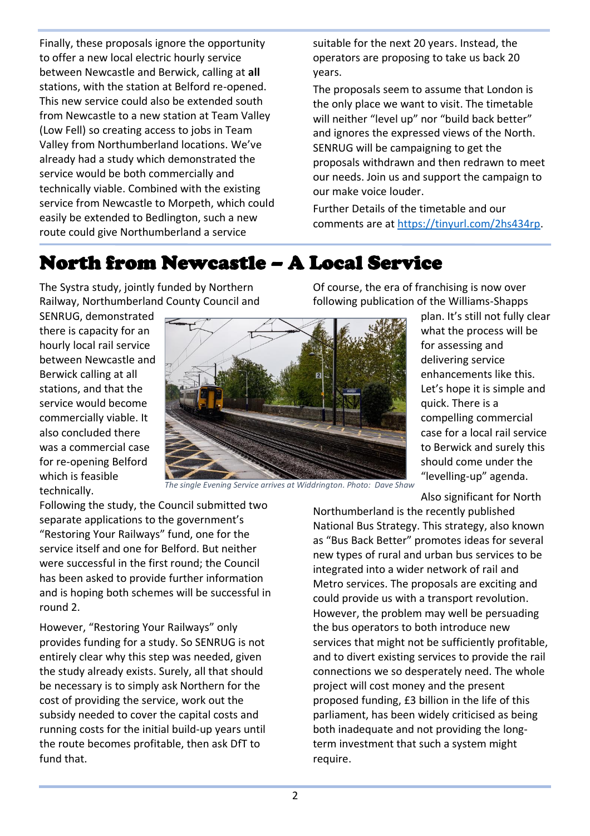Finally, these proposals ignore the opportunity to offer a new local electric hourly service between Newcastle and Berwick, calling at **all**  stations, with the station at Belford re-opened. This new service could also be extended south from Newcastle to a new station at Team Valley (Low Fell) so creating access to jobs in Team Valley from Northumberland locations. We've already had a study which demonstrated the service would be both commercially and technically viable. Combined with the existing service from Newcastle to Morpeth, which could easily be extended to Bedlington, such a new route could give Northumberland a service

suitable for the next 20 years. Instead, the operators are proposing to take us back 20 years.

The proposals seem to assume that London is the only place we want to visit. The timetable will neither "level up" nor "build back better" and ignores the expressed views of the North. SENRUG will be campaigning to get the proposals withdrawn and then redrawn to meet our needs. Join us and support the campaign to our make voice louder.

Further Details of the timetable and our comments are at [https://tinyurl.com/2hs434rp.](https://tinyurl.com/2hs434rp)

### North from Newcastle – A Local Service

The Systra study, jointly funded by Northern Railway, Northumberland County Council and

SENRUG, demonstrated there is capacity for an hourly local rail service between Newcastle and Berwick calling at all stations, and that the service would become commercially viable. It also concluded there was a commercial case for re-opening Belford which is feasible technically.



*The single Evening Service arrives at Widdrington. Photo: Dave Shaw*

Following the study, the Council submitted two separate applications to the government's "Restoring Your Railways" fund, one for the service itself and one for Belford. But neither were successful in the first round; the Council has been asked to provide further information and is hoping both schemes will be successful in round 2.

However, "Restoring Your Railways" only provides funding for a study. So SENRUG is not entirely clear why this step was needed, given the study already exists. Surely, all that should be necessary is to simply ask Northern for the cost of providing the service, work out the subsidy needed to cover the capital costs and running costs for the initial build-up years until the route becomes profitable, then ask DfT to fund that.

Of course, the era of franchising is now over following publication of the Williams-Shapps

> plan. It's still not fully clear what the process will be for assessing and delivering service enhancements like this. Let's hope it is simple and quick. There is a compelling commercial case for a local rail service to Berwick and surely this should come under the "levelling-up" agenda.

Also significant for North

Northumberland is the recently published National Bus Strategy. This strategy, also known as "Bus Back Better" promotes ideas for several new types of rural and urban bus services to be integrated into a wider network of rail and Metro services. The proposals are exciting and could provide us with a transport revolution. However, the problem may well be persuading the bus operators to both introduce new services that might not be sufficiently profitable, and to divert existing services to provide the rail connections we so desperately need. The whole project will cost money and the present proposed funding, £3 billion in the life of this parliament, has been widely criticised as being both inadequate and not providing the longterm investment that such a system might require.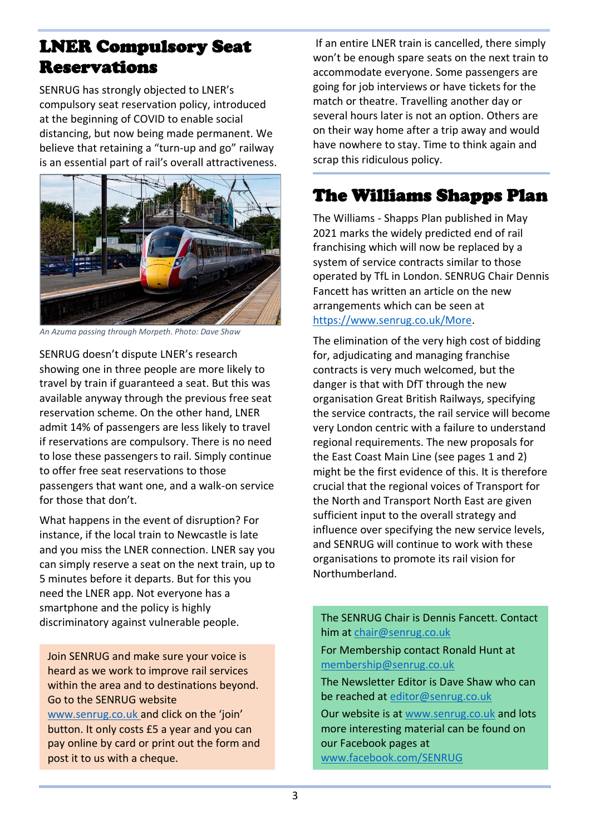#### LNER Compulsory Seat **Reservations**

SENRUG has strongly objected to LNER's compulsory seat reservation policy, introduced at the beginning of COVID to enable social distancing, but now being made permanent. We believe that retaining a "turn-up and go" railway is an essential part of rail's overall attractiveness.



*An Azuma passing through Morpeth. Photo: Dave Shaw*

SENRUG doesn't dispute LNER's research showing one in three people are more likely to travel by train if guaranteed a seat. But this was available anyway through the previous free seat reservation scheme. On the other hand, LNER admit 14% of passengers are less likely to travel if reservations are compulsory. There is no need to lose these passengers to rail. Simply continue to offer free seat reservations to those passengers that want one, and a walk-on service for those that don't.

What happens in the event of disruption? For instance, if the local train to Newcastle is late and you miss the LNER connection. LNER say you can simply reserve a seat on the next train, up to 5 minutes before it departs. But for this you need the LNER app. Not everyone has a smartphone and the policy is highly discriminatory against vulnerable people.

Join SENRUG and make sure your voice is heard as we work to improve rail services within the area and to destinations beyond. Go to the SENRUG website [www.senrug.co.uk](http://www.senrug.co.uk/) and click on the 'join' button. It only costs £5 a year and you can pay online by card or print out the form and post it to us with a cheque.

If an entire LNER train is cancelled, there simply won't be enough spare seats on the next train to accommodate everyone. Some passengers are going for job interviews or have tickets for the match or theatre. Travelling another day or several hours later is not an option. Others are on their way home after a trip away and would have nowhere to stay. Time to think again and scrap this ridiculous policy.

#### The Williams Shapps Plan

The Williams - Shapps Plan published in May 2021 marks the widely predicted end of rail franchising which will now be replaced by a system of service contracts similar to those operated by TfL in London. SENRUG Chair Dennis Fancett has written an article on the new arrangements which can be seen at [https://www.senrug.co.uk/More.](https://www.senrug.co.uk/More)

The elimination of the very high cost of bidding for, adjudicating and managing franchise contracts is very much welcomed, but the danger is that with DfT through the new organisation Great British Railways, specifying the service contracts, the rail service will become very London centric with a failure to understand regional requirements. The new proposals for the East Coast Main Line (see pages 1 and 2) might be the first evidence of this. It is therefore crucial that the regional voices of Transport for the North and Transport North East are given sufficient input to the overall strategy and influence over specifying the new service levels, and SENRUG will continue to work with these organisations to promote its rail vision for Northumberland.

The SENRUG Chair is Dennis Fancett. Contact him at [chair@senrug.co.uk](mailto:chair@senrug.co.uk)

For Membership contact Ronald Hunt at [membership@senrug.co.uk](mailto:membership@senrug.co.uk)

The Newsletter Editor is Dave Shaw who can be reached at [editor@senrug.co.uk](mailto:editor@senrug.co.uk)

Our website is at [www.senrug.co.uk](http://www.senrug.co.uk/) and lots more interesting material can be found on our Facebook pages at [www.facebook.com/SENRUG](http://www.facebook.com/SENRUG/)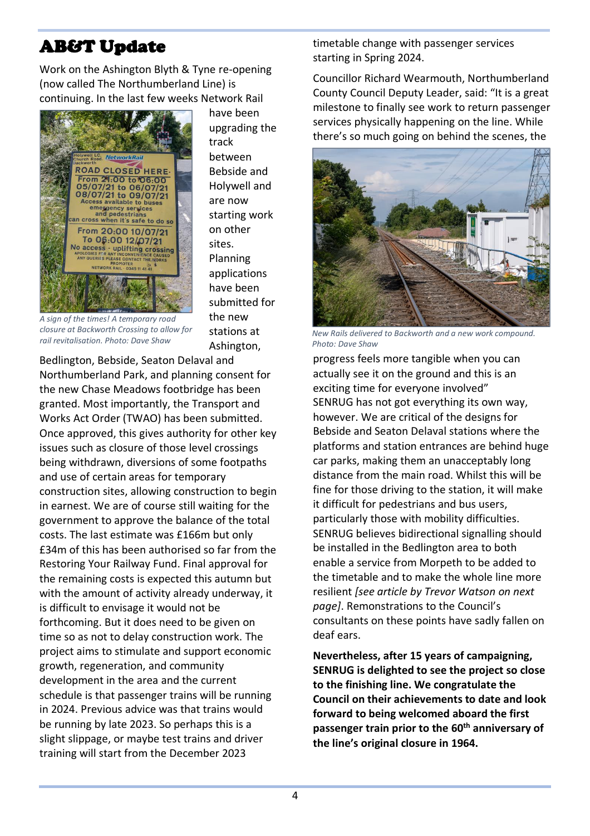#### AB&T Update

Work on the Ashington Blyth & Tyne re-opening (now called The Northumberland Line) is continuing. In the last few weeks Network Rail



have been upgrading the track between Bebside and Holywell and are now starting work on other sites. Planning applications have been submitted for the new stations at Ashington,

*A sign of the times! A temporary road closure at Backworth Crossing to allow for rail revitalisation. Photo: Dave Shaw*

Bedlington, Bebside, Seaton Delaval and Northumberland Park, and planning consent for the new Chase Meadows footbridge has been granted. Most importantly, the Transport and Works Act Order (TWAO) has been submitted. Once approved, this gives authority for other key issues such as closure of those level crossings being withdrawn, diversions of some footpaths and use of certain areas for temporary construction sites, allowing construction to begin in earnest. We are of course still waiting for the government to approve the balance of the total costs. The last estimate was £166m but only £34m of this has been authorised so far from the Restoring Your Railway Fund. Final approval for the remaining costs is expected this autumn but with the amount of activity already underway, it is difficult to envisage it would not be forthcoming. But it does need to be given on time so as not to delay construction work. The project aims to stimulate and support economic growth, regeneration, and community development in the area and the current schedule is that passenger trains will be running in 2024. Previous advice was that trains would be running by late 2023. So perhaps this is a slight slippage, or maybe test trains and driver training will start from the December 2023

timetable change with passenger services starting in Spring 2024.

Councillor Richard Wearmouth, Northumberland County Council Deputy Leader, said: "It is a great milestone to finally see work to return passenger services physically happening on the line. While there's so much going on behind the scenes, the



*New Rails delivered to Backworth and a new work compound. Photo: Dave Shaw*

progress feels more tangible when you can actually see it on the ground and this is an exciting time for everyone involved" SENRUG has not got everything its own way, however. We are critical of the designs for Bebside and Seaton Delaval stations where the platforms and station entrances are behind huge car parks, making them an unacceptably long distance from the main road. Whilst this will be fine for those driving to the station, it will make it difficult for pedestrians and bus users, particularly those with mobility difficulties. SENRUG believes bidirectional signalling should be installed in the Bedlington area to both enable a service from Morpeth to be added to the timetable and to make the whole line more resilient *[see article by Trevor Watson on next page]*. Remonstrations to the Council's consultants on these points have sadly fallen on deaf ears.

**Nevertheless, after 15 years of campaigning, SENRUG is delighted to see the project so close to the finishing line. We congratulate the Council on their achievements to date and look forward to being welcomed aboard the first passenger train prior to the 60th anniversary of the line's original closure in 1964.**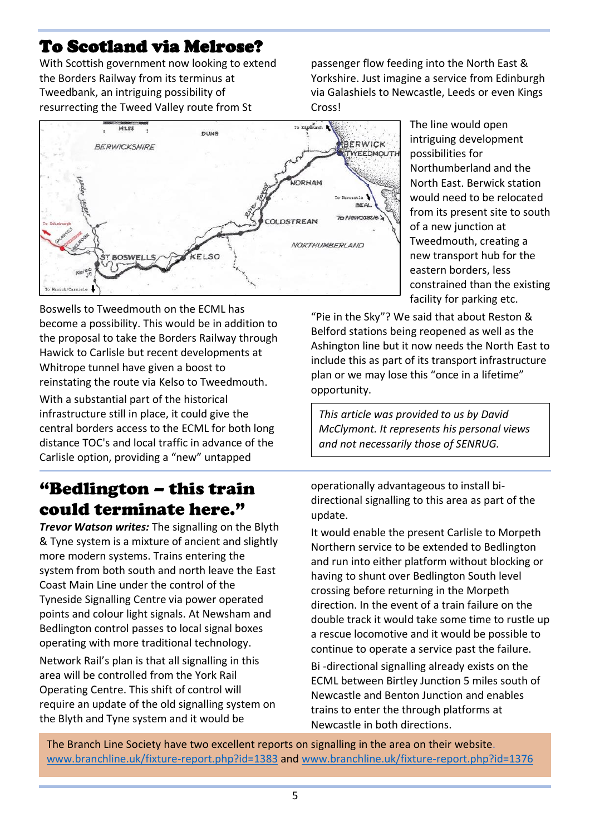#### To Scotland via Melrose?

With Scottish government now looking to extend the Borders Railway from its terminus at Tweedbank, an intriguing possibility of resurrecting the Tweed Valley route from St

passenger flow feeding into the North East & Yorkshire. Just imagine a service from Edinburgh via Galashiels to Newcastle, Leeds or even Kings Cross!



Boswells to Tweedmouth on the ECML has become a possibility. This would be in addition to the proposal to take the Borders Railway through Hawick to Carlisle but recent developments at Whitrope tunnel have given a boost to reinstating the route via Kelso to Tweedmouth.

With a substantial part of the historical infrastructure still in place, it could give the central borders access to the ECML for both long distance TOC's and local traffic in advance of the Carlisle option, providing a "new" untapped

#### "Bedlington – this train could terminate here."

*Trevor Watson writes:* The signalling on the Blyth & Tyne system is a mixture of ancient and slightly more modern systems. Trains entering the system from both south and north leave the East Coast Main Line under the control of the Tyneside Signalling Centre via power operated points and colour light signals. At Newsham and Bedlington control passes to local signal boxes operating with more traditional technology.

Network Rail's plan is that all signalling in this area will be controlled from the York Rail Operating Centre. This shift of control will require an update of the old signalling system on the Blyth and Tyne system and it would be

The line would open intriguing development possibilities for Northumberland and the North East. Berwick station would need to be relocated from its present site to south of a new junction at Tweedmouth, creating a new transport hub for the eastern borders, less constrained than the existing facility for parking etc.

"Pie in the Sky"? We said that about Reston & Belford stations being reopened as well as the Ashington line but it now needs the North East to include this as part of its transport infrastructure plan or we may lose this "once in a lifetime" opportunity.

*This article was provided to us by David McClymont. It represents his personal views and not necessarily those of SENRUG.*

operationally advantageous to install bidirectional signalling to this area as part of the update.

It would enable the present Carlisle to Morpeth Northern service to be extended to Bedlington and run into either platform without blocking or having to shunt over Bedlington South level crossing before returning in the Morpeth direction. In the event of a train failure on the double track it would take some time to rustle up a rescue locomotive and it would be possible to continue to operate a service past the failure. Bi -directional signalling already exists on the ECML between Birtley Junction 5 miles south of Newcastle and Benton Junction and enables trains to enter the through platforms at Newcastle in both directions.

The Branch Line Society have two excellent reports on signalling in the area on their website. [www.branchline.uk/fixture-report.php?id=1383](http://www.branchline.uk/fixture-report.php?id=1383) and [www.branchline.uk/fixture-report.php?id=1376](http://www.branchline.uk/fixture-report.php?id=1376)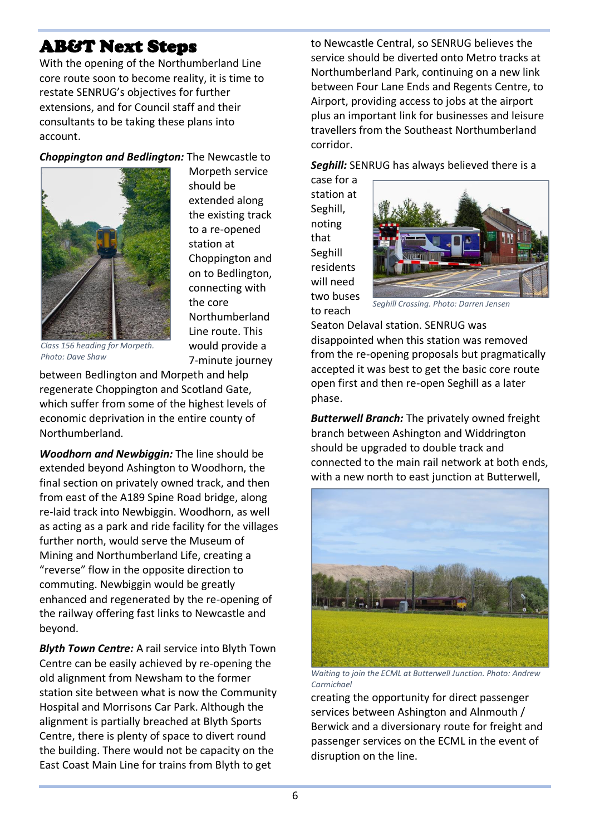#### AB&T Next Steps

With the opening of the Northumberland Line core route soon to become reality, it is time to restate SENRUG's objectives for further extensions, and for Council staff and their consultants to be taking these plans into account.

#### *Choppington and Bedlington:* The Newcastle to



Morpeth service should be extended along the existing track to a re-opened station at Choppington and on to Bedlington, connecting with the core Northumberland Line route. This would provide a 7-minute journey

*Class 156 heading for Morpeth. Photo: Dave Shaw*

between Bedlington and Morpeth and help regenerate Choppington and Scotland Gate, which suffer from some of the highest levels of economic deprivation in the entire county of Northumberland.

*Woodhorn and Newbiggin:* The line should be extended beyond Ashington to Woodhorn, the final section on privately owned track, and then from east of the A189 Spine Road bridge, along re-laid track into Newbiggin. Woodhorn, as well as acting as a park and ride facility for the villages further north, would serve the Museum of Mining and Northumberland Life, creating a "reverse" flow in the opposite direction to commuting. Newbiggin would be greatly enhanced and regenerated by the re-opening of the railway offering fast links to Newcastle and beyond.

*Blyth Town Centre:* A rail service into Blyth Town Centre can be easily achieved by re-opening the old alignment from Newsham to the former station site between what is now the Community Hospital and Morrisons Car Park. Although the alignment is partially breached at Blyth Sports Centre, there is plenty of space to divert round the building. There would not be capacity on the East Coast Main Line for trains from Blyth to get

to Newcastle Central, so SENRUG believes the service should be diverted onto Metro tracks at Northumberland Park, continuing on a new link between Four Lane Ends and Regents Centre, to Airport, providing access to jobs at the airport plus an important link for businesses and leisure travellers from the Southeast Northumberland corridor.

*Seghill:* SENRUG has always believed there is a

case for a station at Seghill, noting that Seghill residents will need two buses to reach



*Seghill Crossing. Photo: Darren Jensen*

Seaton Delaval station. SENRUG was disappointed when this station was removed from the re-opening proposals but pragmatically accepted it was best to get the basic core route open first and then re-open Seghill as a later phase.

*Butterwell Branch:* The privately owned freight branch between Ashington and Widdrington should be upgraded to double track and connected to the main rail network at both ends, with a new north to east junction at Butterwell,



*Waiting to join the ECML at Butterwell Junction. Photo: Andrew Carmichael*

creating the opportunity for direct passenger services between Ashington and Alnmouth / Berwick and a diversionary route for freight and passenger services on the ECML in the event of disruption on the line.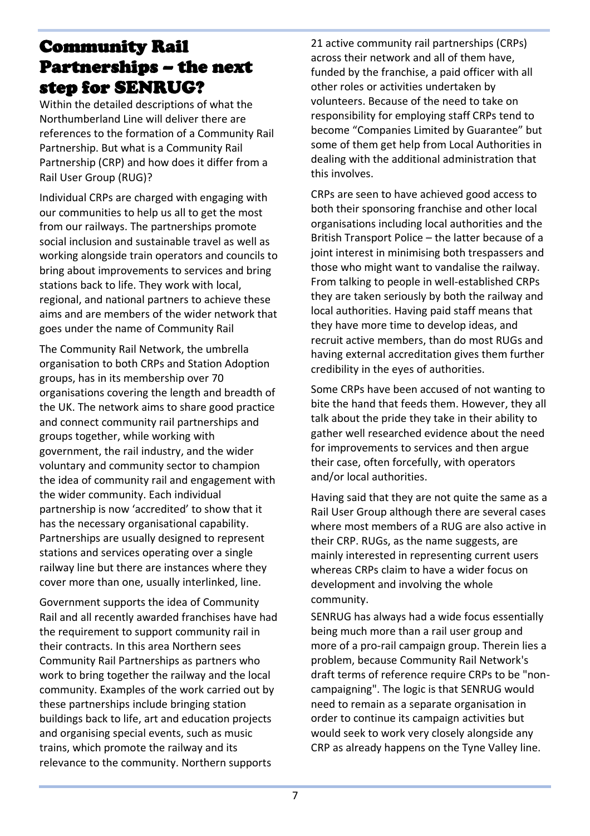#### Community Rail Partnerships – the next step for SENRUG?

Within the detailed descriptions of what the Northumberland Line will deliver there are references to the formation of a Community Rail Partnership. But what is a Community Rail Partnership (CRP) and how does it differ from a Rail User Group (RUG)?

Individual CRPs are charged with engaging with our communities to help us all to get the most from our railways. The partnerships promote social inclusion and sustainable travel as well as working alongside train operators and councils to bring about improvements to services and bring stations back to life. They work with local, regional, and national partners to achieve these aims and are members of the wider network that goes under the name of Community Rail

The Community Rail Network, the umbrella organisation to both CRPs and Station Adoption groups, has in its membership over 70 organisations covering the length and breadth of the UK. The network aims to share good practice and connect community rail partnerships and groups together, while working with government, the rail industry, and the wider voluntary and community sector to champion the idea of community rail and engagement with the wider community. Each individual partnership is now 'accredited' to show that it has the necessary organisational capability. Partnerships are usually designed to represent stations and services operating over a single railway line but there are instances where they cover more than one, usually interlinked, line.

Government supports the idea of Community Rail and all recently awarded franchises have had the requirement to support community rail in their contracts. In this area Northern sees Community Rail Partnerships as partners who work to bring together the railway and the local community. Examples of the work carried out by these partnerships include bringing station buildings back to life, art and education projects and organising special events, such as music trains, which promote the railway and its relevance to the community. Northern supports

21 active community rail partnerships (CRPs) across their network and all of them have, funded by the franchise, a paid officer with all other roles or activities undertaken by volunteers. Because of the need to take on responsibility for employing staff CRPs tend to become "Companies Limited by Guarantee" but some of them get help from Local Authorities in dealing with the additional administration that this involves.

CRPs are seen to have achieved good access to both their sponsoring franchise and other local organisations including local authorities and the British Transport Police – the latter because of a joint interest in minimising both trespassers and those who might want to vandalise the railway. From talking to people in well-established CRPs they are taken seriously by both the railway and local authorities. Having paid staff means that they have more time to develop ideas, and recruit active members, than do most RUGs and having external accreditation gives them further credibility in the eyes of authorities.

Some CRPs have been accused of not wanting to bite the hand that feeds them. However, they all talk about the pride they take in their ability to gather well researched evidence about the need for improvements to services and then argue their case, often forcefully, with operators and/or local authorities.

Having said that they are not quite the same as a Rail User Group although there are several cases where most members of a RUG are also active in their CRP. RUGs, as the name suggests, are mainly interested in representing current users whereas CRPs claim to have a wider focus on development and involving the whole community.

SENRUG has always had a wide focus essentially being much more than a rail user group and more of a pro-rail campaign group. Therein lies a problem, because Community Rail Network's draft terms of reference require CRPs to be "noncampaigning". The logic is that SENRUG would need to remain as a separate organisation in order to continue its campaign activities but would seek to work very closely alongside any CRP as already happens on the Tyne Valley line.